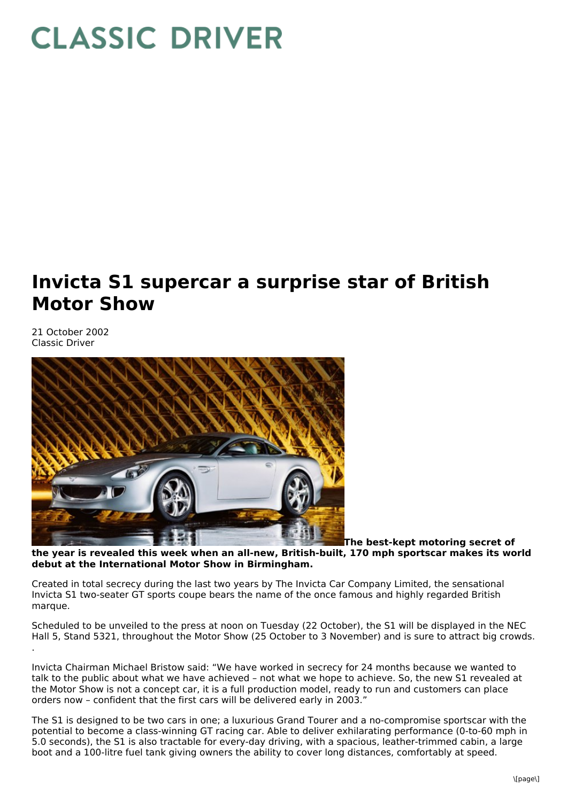## **CLASSIC DRIVER**

## **Invicta S1 supercar a surprise star of British Motor Show**

21 October 2002 Classic Driver



**The best-kept motoring secret of the year is revealed this week when an all-new, British-built, 170 mph sportscar makes its world debut at the International Motor Show in Birmingham.**

Created in total secrecy during the last two years by The Invicta Car Company Limited, the sensational Invicta S1 two-seater GT sports coupe bears the name of the once famous and highly regarded British marque.

Scheduled to be unveiled to the press at noon on Tuesday (22 October), the S1 will be displayed in the NEC Hall 5, Stand 5321, throughout the Motor Show (25 October to 3 November) and is sure to attract big crowds. .

Invicta Chairman Michael Bristow said: "We have worked in secrecy for 24 months because we wanted to talk to the public about what we have achieved – not what we hope to achieve. So, the new S1 revealed at the Motor Show is not a concept car, it is a full production model, ready to run and customers can place orders now – confident that the first cars will be delivered early in 2003."

The S1 is designed to be two cars in one; a luxurious Grand Tourer and a no-compromise sportscar with the potential to become a class-winning GT racing car. Able to deliver exhilarating performance (0-to-60 mph in 5.0 seconds), the S1 is also tractable for every-day driving, with a spacious, leather-trimmed cabin, a large boot and a 100-litre fuel tank giving owners the ability to cover long distances, comfortably at speed.